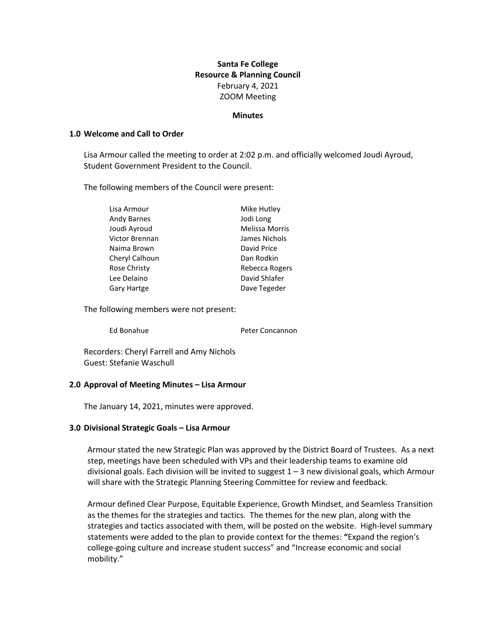# **Santa Fe College Resource & Planning Council** February 4, 2021 ZOOM Meeting

#### **Minutes**

### **1.0 Welcome and Call to Order**

Lisa Armour called the meeting to order at 2:02 p.m. and officially welcomed Joudi Ayroud, Student Government President to the Council.

The following members of the Council were present:

| Lisa Armour        | Mike Hutley    |
|--------------------|----------------|
| <b>Andy Barnes</b> | Jodi Long      |
| Joudi Ayroud       | Melissa Morris |
| Victor Brennan     | James Nichols  |
| Naima Brown        | David Price    |
| Cheryl Calhoun     | Dan Rodkin     |
| Rose Christy       | Rebecca Rogers |
| Lee Delaino        | David Shlafer  |
| <b>Gary Hartge</b> | Dave Tegeder   |

The following members were not present:

Ed Bonahue **Peter Concannon** 

Recorders: Cheryl Farrell and Amy Nichols Guest: Stefanie Waschull

### **2.0 Approval of Meeting Minutes – Lisa Armour**

The January 14, 2021, minutes were approved.

### **3.0 Divisional Strategic Goals – Lisa Armour**

Armour stated the new Strategic Plan was approved by the District Board of Trustees. As a next step, meetings have been scheduled with VPs and their leadership teams to examine old divisional goals. Each division will be invited to suggest  $1 - 3$  new divisional goals, which Armour will share with the Strategic Planning Steering Committee for review and feedback.

Armour defined Clear Purpose, Equitable Experience, Growth Mindset, and Seamless Transition as the themes for the strategies and tactics. The themes for the new plan, along with the strategies and tactics associated with them, will be posted on the website. High-level summary statements were added to the plan to provide context for the themes: **"**Expand the region's college-going culture and increase student success" and "Increase economic and social mobility."